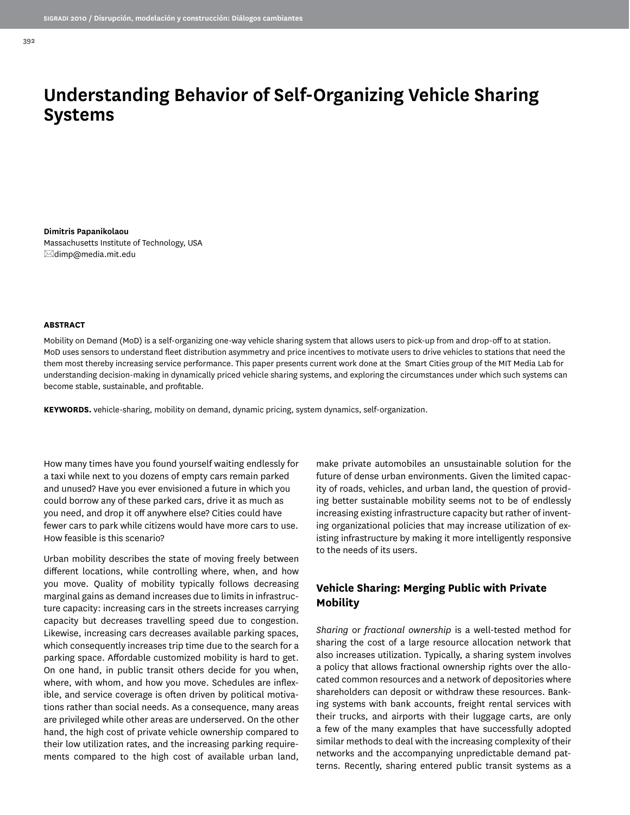# **Understanding Behavior of Self-Organizing Vehicle Sharing Systems**

**Dimitris Papanikolaou** Massachusetts Institute of Technology, USA  $\boxtimes$ dimp@media.mit.edu

#### **ABSTRACT**

Mobility on Demand (MoD) is a self-organizing one-way vehicle sharing system that allows users to pick-up from and drop-off to at station. MoD uses sensors to understand fleet distribution asymmetry and price incentives to motivate users to drive vehicles to stations that need the them most thereby increasing service performance. This paper presents current work done at the Smart Cities group of the MIT Media Lab for understanding decision-making in dynamically priced vehicle sharing systems, and exploring the circumstances under which such systems can become stable, sustainable, and profitable.

**KEYWORDS.** vehicle-sharing, mobility on demand, dynamic pricing, system dynamics, self-organization.

How many times have you found yourself waiting endlessly for a taxi while next to you dozens of empty cars remain parked and unused? Have you ever envisioned a future in which you could borrow any of these parked cars, drive it as much as you need, and drop it off anywhere else? Cities could have fewer cars to park while citizens would have more cars to use. How feasible is this scenario?

Urban mobility describes the state of moving freely between different locations, while controlling where, when, and how you move. Quality of mobility typically follows decreasing marginal gains as demand increases due to limits in infrastructure capacity: increasing cars in the streets increases carrying capacity but decreases travelling speed due to congestion. Likewise, increasing cars decreases available parking spaces, which consequently increases trip time due to the search for a parking space. Affordable customized mobility is hard to get. On one hand, in public transit others decide for you when, where, with whom, and how you move. Schedules are inflexible, and service coverage is often driven by political motivations rather than social needs. As a consequence, many areas are privileged while other areas are underserved. On the other hand, the high cost of private vehicle ownership compared to their low utilization rates, and the increasing parking requirements compared to the high cost of available urban land,

make private automobiles an unsustainable solution for the future of dense urban environments. Given the limited capacity of roads, vehicles, and urban land, the question of providing better sustainable mobility seems not to be of endlessly increasing existing infrastructure capacity but rather of inventing organizational policies that may increase utilization of existing infrastructure by making it more intelligently responsive to the needs of its users.

## **Vehicle Sharing: Merging Public with Private Mobility**

*Sharing* or *fractional ownership* is a well-tested method for sharing the cost of a large resource allocation network that also increases utilization. Typically, a sharing system involves a policy that allows fractional ownership rights over the allocated common resources and a network of depositories where shareholders can deposit or withdraw these resources. Banking systems with bank accounts, freight rental services with their trucks, and airports with their luggage carts, are only a few of the many examples that have successfully adopted similar methods to deal with the increasing complexity of their networks and the accompanying unpredictable demand patterns. Recently, sharing entered public transit systems as a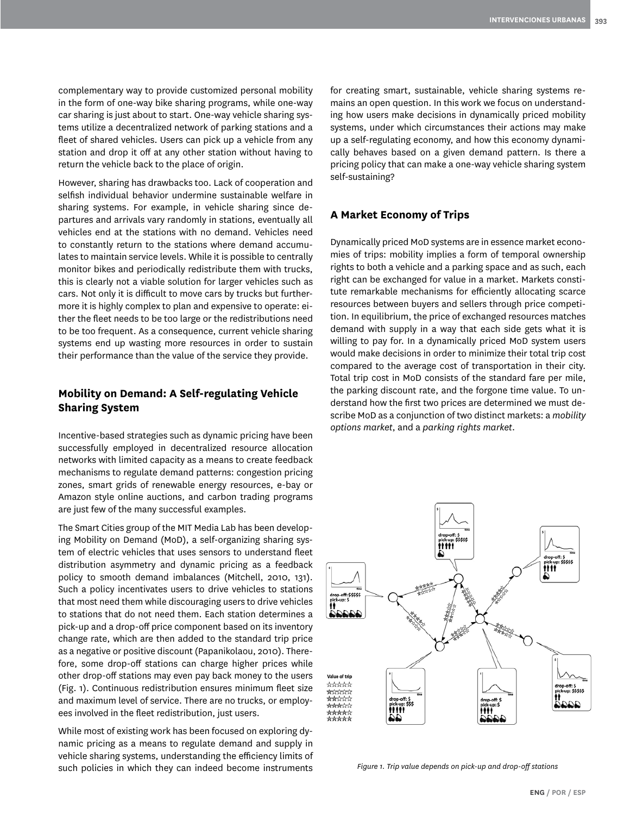complementary way to provide customized personal mobility in the form of one-way bike sharing programs, while one-way car sharing is just about to start. One-way vehicle sharing systems utilize a decentralized network of parking stations and a fleet of shared vehicles. Users can pick up a vehicle from any station and drop it off at any other station without having to return the vehicle back to the place of origin.

However, sharing has drawbacks too. Lack of cooperation and selfish individual behavior undermine sustainable welfare in sharing systems. For example, in vehicle sharing since departures and arrivals vary randomly in stations, eventually all vehicles end at the stations with no demand. Vehicles need to constantly return to the stations where demand accumulates to maintain service levels. While it is possible to centrally monitor bikes and periodically redistribute them with trucks, this is clearly not a viable solution for larger vehicles such as cars. Not only it is difficult to move cars by trucks but furthermore it is highly complex to plan and expensive to operate: either the fleet needs to be too large or the redistributions need to be too frequent. As a consequence, current vehicle sharing systems end up wasting more resources in order to sustain their performance than the value of the service they provide.

#### **Mobility on Demand: A Self-regulating Vehicle Sharing System**

Incentive-based strategies such as dynamic pricing have been successfully employed in decentralized resource allocation networks with limited capacity as a means to create feedback mechanisms to regulate demand patterns: congestion pricing zones, smart grids of renewable energy resources, e-bay or Amazon style online auctions, and carbon trading programs are just few of the many successful examples.

The Smart Cities group of the MIT Media Lab has been developing Mobility on Demand (MoD), a self-organizing sharing system of electric vehicles that uses sensors to understand fleet distribution asymmetry and dynamic pricing as a feedback policy to smooth demand imbalances (Mitchell, 2010, 131). Such a policy incentivates users to drive vehicles to stations that most need them while discouraging users to drive vehicles to stations that do not need them. Each station determines a pick-up and a drop-off price component based on its inventory change rate, which are then added to the standard trip price as a negative or positive discount (Papanikolaou, 2010). Therefore, some drop-off stations can charge higher prices while other drop-off stations may even pay back money to the users (Fig. 1). Continuous redistribution ensures minimum fleet size and maximum level of service. There are no trucks, or employees involved in the fleet redistribution, just users.

While most of existing work has been focused on exploring dynamic pricing as a means to regulate demand and supply in vehicle sharing systems, understanding the efficiency limits of such policies in which they can indeed become instruments

for creating smart, sustainable, vehicle sharing systems remains an open question. In this work we focus on understanding how users make decisions in dynamically priced mobility systems, under which circumstances their actions may make up a self-regulating economy, and how this economy dynamically behaves based on a given demand pattern. Is there a pricing policy that can make a one-way vehicle sharing system self-sustaining?

### **A Market Economy of Trips**

Dynamically priced MoD systems are in essence market economies of trips: mobility implies a form of temporal ownership rights to both a vehicle and a parking space and as such, each right can be exchanged for value in a market. Markets constitute remarkable mechanisms for efficiently allocating scarce resources between buyers and sellers through price competition. In equilibrium, the price of exchanged resources matches demand with supply in a way that each side gets what it is willing to pay for. In a dynamically priced MoD system users would make decisions in order to minimize their total trip cost compared to the average cost of transportation in their city. Total trip cost in MoD consists of the standard fare per mile, the parking discount rate, and the forgone time value. To understand how the first two prices are determined we must describe MoD as a conjunction of two distinct markets: a *mobility options market*, and a *parking rights market*.



*Figure 1. Trip value depends on pick-up and drop-off stations*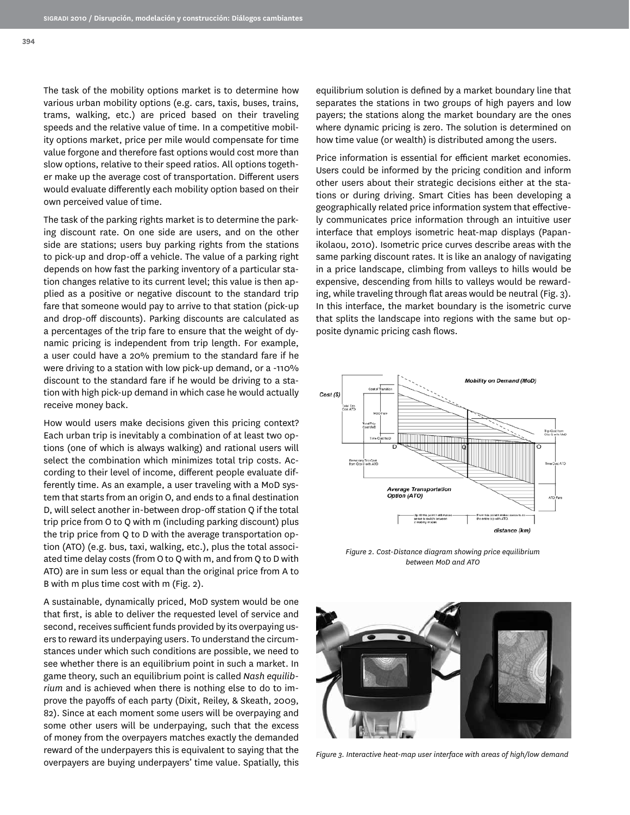**394**

The task of the mobility options market is to determine how various urban mobility options (e.g. cars, taxis, buses, trains, trams, walking, etc.) are priced based on their traveling speeds and the relative value of time. In a competitive mobility options market, price per mile would compensate for time value forgone and therefore fast options would cost more than slow options, relative to their speed ratios. All options together make up the average cost of transportation. Different users would evaluate differently each mobility option based on their own perceived value of time.

The task of the parking rights market is to determine the parking discount rate. On one side are users, and on the other side are stations; users buy parking rights from the stations to pick-up and drop-off a vehicle. The value of a parking right depends on how fast the parking inventory of a particular station changes relative to its current level; this value is then applied as a positive or negative discount to the standard trip fare that someone would pay to arrive to that station (pick-up and drop-off discounts). Parking discounts are calculated as a percentages of the trip fare to ensure that the weight of dynamic pricing is independent from trip length. For example, a user could have a 20% premium to the standard fare if he were driving to a station with low pick-up demand, or a -110% discount to the standard fare if he would be driving to a station with high pick-up demand in which case he would actually receive money back.

How would users make decisions given this pricing context? Each urban trip is inevitably a combination of at least two options (one of which is always walking) and rational users will select the combination which minimizes total trip costs. According to their level of income, different people evaluate differently time. As an example, a user traveling with a MoD system that starts from an origin O, and ends to a final destination D, will select another in-between drop-off station Q if the total trip price from O to Q with m (including parking discount) plus the trip price from Q to D with the average transportation option (ATO) (e.g. bus, taxi, walking, etc.), plus the total associated time delay costs (from O to Q with m, and from Q to D with ATO) are in sum less or equal than the original price from A to B with m plus time cost with m (Fig. 2).

A sustainable, dynamically priced, MoD system would be one that first, is able to deliver the requested level of service and second, receives sufficient funds provided by its overpaying users to reward its underpaying users. To understand the circumstances under which such conditions are possible, we need to see whether there is an equilibrium point in such a market. In game theory, such an equilibrium point is called *Nash equilibrium* and is achieved when there is nothing else to do to improve the payoffs of each party (Dixit, Reiley, & Skeath, 2009, 82). Since at each moment some users will be overpaying and some other users will be underpaying, such that the excess of money from the overpayers matches exactly the demanded reward of the underpayers this is equivalent to saying that the overpayers are buying underpayers' time value. Spatially, this equilibrium solution is defined by a market boundary line that separates the stations in two groups of high payers and low payers; the stations along the market boundary are the ones where dynamic pricing is zero. The solution is determined on how time value (or wealth) is distributed among the users.

Price information is essential for efficient market economies. Users could be informed by the pricing condition and inform other users about their strategic decisions either at the stations or during driving. Smart Cities has been developing a geographically related price information system that effectively communicates price information through an intuitive user interface that employs isometric heat-map displays (Papanikolaou, 2010). Isometric price curves describe areas with the same parking discount rates. It is like an analogy of navigating in a price landscape, climbing from valleys to hills would be expensive, descending from hills to valleys would be rewarding, while traveling through flat areas would be neutral (Fig. 3). In this interface, the market boundary is the isometric curve that splits the landscape into regions with the same but opposite dynamic pricing cash flows.



*Figure 2. Cost-Distance diagram showing price equilibrium between MoD and ATO*



*Figure 3. Interactive heat-map user interface with areas of high/low demand*